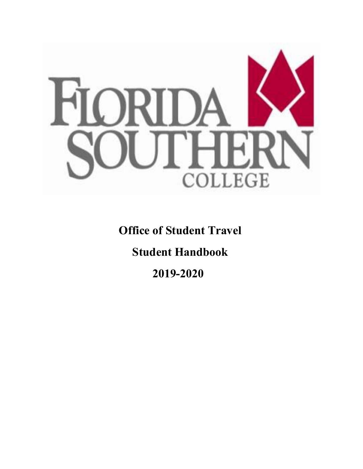

**Office of Student Travel**

**Student Handbook**

 **2019-2020**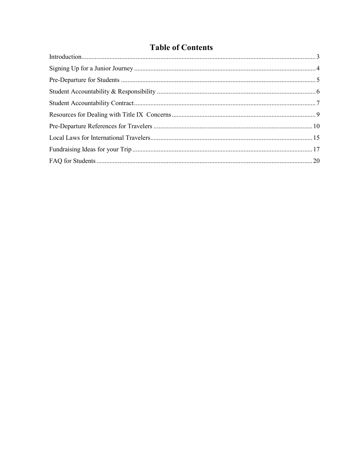# **Table of Contents**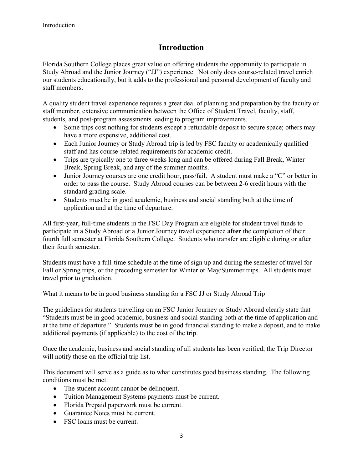# **Introduction**

Florida Southern College places great value on offering students the opportunity to participate in Study Abroad and the Junior Journey ("JJ") experience. Not only does course-related travel enrich our students educationally, but it adds to the professional and personal development of faculty and staff members.

A quality student travel experience requires a great deal of planning and preparation by the faculty or staff member, extensive communication between the Office of Student Travel, faculty, staff, students, and post-program assessments leading to program improvements.

- Some trips cost nothing for students except a refundable deposit to secure space; others may have a more expensive, additional cost.
- Each Junior Journey or Study Abroad trip is led by FSC faculty or academically qualified staff and has course-related requirements for academic credit.
- Trips are typically one to three weeks long and can be offered during Fall Break, Winter Break, Spring Break, and any of the summer months.
- Junior Journey courses are one credit hour, pass/fail. A student must make a "C" or better in order to pass the course. Study Abroad courses can be between 2-6 credit hours with the standard grading scale.
- Students must be in good academic, business and social standing both at the time of application and at the time of departure.

All first-year, full-time students in the FSC Day Program are eligible for student travel funds to participate in a Study Abroad or a Junior Journey travel experience **after** the completion of their fourth full semester at Florida Southern College. Students who transfer are eligible during or after their fourth semester.

Students must have a full-time schedule at the time of sign up and during the semester of travel for Fall or Spring trips, or the preceding semester for Winter or May/Summer trips. All students must travel prior to graduation.

#### What it means to be in good business standing for a FSC JJ or Study Abroad Trip

The guidelines for students travelling on an FSC Junior Journey or Study Abroad clearly state that "Students must be in good academic, business and social standing both at the time of application and at the time of departure." Students must be in good financial standing to make a deposit, and to make additional payments (if applicable) to the cost of the trip.

Once the academic, business and social standing of all students has been verified, the Trip Director will notify those on the official trip list.

This document will serve as a guide as to what constitutes good business standing. The following conditions must be met:

- The student account cannot be delinquent.
- Tuition Management Systems payments must be current.
- Florida Prepaid paperwork must be current.
- Guarantee Notes must be current.
- FSC loans must be current.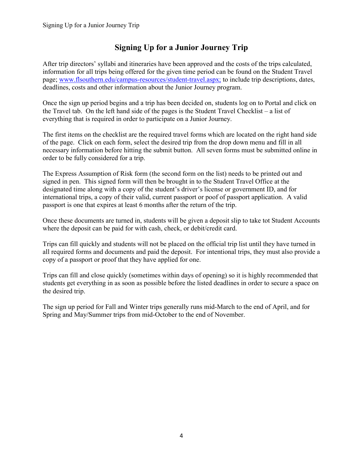# **Signing Up for a Junior Journey Trip**

After trip directors' syllabi and itineraries have been approved and the costs of the trips calculated, information for all trips being offered for the given time period can be found on the Student Travel page; [www.flsouthern.edu/campus-resources/student-travel.aspx;](http://www.flsouthern.edu/campus-resources/student-travel.aspx) to include trip descriptions, dates, deadlines, costs and other information about the Junior Journey program.

Once the sign up period begins and a trip has been decided on, students log on to Portal and click on the Travel tab. On the left hand side of the pages is the Student Travel Checklist – a list of everything that is required in order to participate on a Junior Journey.

The first items on the checklist are the required travel forms which are located on the right hand side of the page. Click on each form, select the desired trip from the drop down menu and fill in all necessary information before hitting the submit button. All seven forms must be submitted online in order to be fully considered for a trip.

The Express Assumption of Risk form (the second form on the list) needs to be printed out and signed in pen. This signed form will then be brought in to the Student Travel Office at the designated time along with a copy of the student's driver's license or government ID, and for international trips, a copy of their valid, current passport or poof of passport application. A valid passport is one that expires at least 6 months after the return of the trip.

Once these documents are turned in, students will be given a deposit slip to take tot Student Accounts where the deposit can be paid for with cash, check, or debit/credit card.

Trips can fill quickly and students will not be placed on the official trip list until they have turned in all required forms and documents and paid the deposit. For intentional trips, they must also provide a copy of a passport or proof that they have applied for one.

Trips can fill and close quickly (sometimes within days of opening) so it is highly recommended that students get everything in as soon as possible before the listed deadlines in order to secure a space on the desired trip.

The sign up period for Fall and Winter trips generally runs mid-March to the end of April, and for Spring and May/Summer trips from mid-October to the end of November.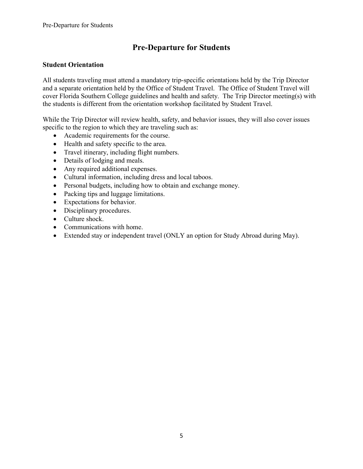# **Pre-Departure for Students**

### **Student Orientation**

All students traveling must attend a mandatory trip-specific orientations held by the Trip Director and a separate orientation held by the Office of Student Travel. The Office of Student Travel will cover Florida Southern College guidelines and health and safety. The Trip Director meeting(s) with the students is different from the orientation workshop facilitated by Student Travel.

While the Trip Director will review health, safety, and behavior issues, they will also cover issues specific to the region to which they are traveling such as:

- Academic requirements for the course.
- Health and safety specific to the area.
- Travel itinerary, including flight numbers.
- Details of lodging and meals.
- Any required additional expenses.
- Cultural information, including dress and local taboos.
- Personal budgets, including how to obtain and exchange money.
- Packing tips and luggage limitations.
- Expectations for behavior.
- Disciplinary procedures.
- Culture shock.
- Communications with home.
- Extended stay or independent travel (ONLY an option for Study Abroad during May).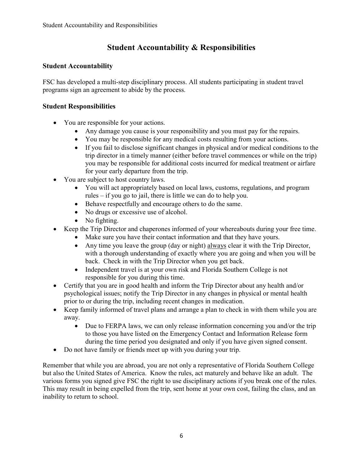# **Student Accountability & Responsibilities**

### **Student Accountability**

FSC has developed a multi-step disciplinary process. All students participating in student travel programs sign an agreement to abide by the process.

### **Student Responsibilities**

- You are responsible for your actions.
	- Any damage you cause is your responsibility and you must pay for the repairs.
	- You may be responsible for any medical costs resulting from your actions.
	- If you fail to disclose significant changes in physical and/or medical conditions to the trip director in a timely manner (either before travel commences or while on the trip) you may be responsible for additional costs incurred for medical treatment or airfare for your early departure from the trip.
- You are subject to host country laws.
	- You will act appropriately based on local laws, customs, regulations, and program rules – if you go to jail, there is little we can do to help you.
	- Behave respectfully and encourage others to do the same.
	- No drugs or excessive use of alcohol.
	- No fighting.
- Keep the Trip Director and chaperones informed of your whereabouts during your free time.
	- Make sure you have their contact information and that they have yours.
	- Any time you leave the group (day or night) always clear it with the Trip Director, with a thorough understanding of exactly where you are going and when you will be back. Check in with the Trip Director when you get back.
	- Independent travel is at your own risk and Florida Southern College is not responsible for you during this time.
- Certify that you are in good health and inform the Trip Director about any health and/or psychological issues; notify the Trip Director in any changes in physical or mental health prior to or during the trip, including recent changes in medication.
- Keep family informed of travel plans and arrange a plan to check in with them while you are away.
	- Due to FERPA laws, we can only release information concerning you and/or the trip to those you have listed on the Emergency Contact and Information Release form during the time period you designated and only if you have given signed consent.
- Do not have family or friends meet up with you during your trip.

Remember that while you are abroad, you are not only a representative of Florida Southern College but also the United States of America. Know the rules, act maturely and behave like an adult. The various forms you signed give FSC the right to use disciplinary actions if you break one of the rules. This may result in being expelled from the trip, sent home at your own cost, failing the class, and an inability to return to school.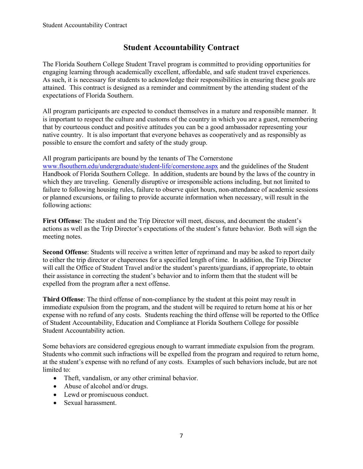# **Student Accountability Contract**

The Florida Southern College Student Travel program is committed to providing opportunities for engaging learning through academically excellent, affordable, and safe student travel experiences. As such, it is necessary for students to acknowledge their responsibilities in ensuring these goals are attained. This contract is designed as a reminder and commitment by the attending student of the expectations of Florida Southern.

All program participants are expected to conduct themselves in a mature and responsible manner. It is important to respect the culture and customs of the country in which you are a guest, remembering that by courteous conduct and positive attitudes you can be a good ambassador representing your native country. It is also important that everyone behaves as cooperatively and as responsibly as possible to ensure the comfort and safety of the study group.

All program participants are bound by the tenants of The Cornerstone

[www.flsouthern.edu/undergraduate/student-life/cornerstone.aspx](http://www.flsouthern.edu/undergraduate/student-life/cornerstone.aspx) and the guidelines of the Student Handbook of Florida Southern College. In addition, students are bound by the laws of the country in which they are traveling. Generally disruptive or irresponsible actions including, but not limited to failure to following housing rules, failure to observe quiet hours, non-attendance of academic sessions or planned excursions, or failing to provide accurate information when necessary, will result in the following actions:

**First Offense**: The student and the Trip Director will meet, discuss, and document the student's actions as well as the Trip Director's expectations of the student's future behavior. Both will sign the meeting notes.

**Second Offense**: Students will receive a written letter of reprimand and may be asked to report daily to either the trip director or chaperones for a specified length of time. In addition, the Trip Director will call the Office of Student Travel and/or the student's parents/guardians, if appropriate, to obtain their assistance in correcting the student's behavior and to inform them that the student will be expelled from the program after a next offense.

**Third Offense**: The third offense of non-compliance by the student at this point may result in immediate expulsion from the program, and the student will be required to return home at his or her expense with no refund of any costs. Students reaching the third offense will be reported to the Office of Student Accountability, Education and Compliance at Florida Southern College for possible Student Accountability action.

Some behaviors are considered egregious enough to warrant immediate expulsion from the program. Students who commit such infractions will be expelled from the program and required to return home, at the student's expense with no refund of any costs. Examples of such behaviors include, but are not limited to:

- Theft, vandalism, or any other criminal behavior.
- Abuse of alcohol and/or drugs.
- Lewd or promiscuous conduct.
- Sexual harassment.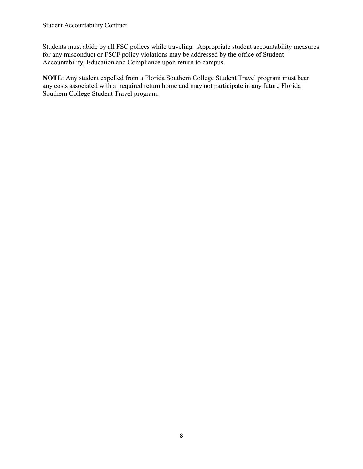Students must abide by all FSC polices while traveling. Appropriate student accountability measures for any misconduct or FSCF policy violations may be addressed by the office of Student Accountability, Education and Compliance upon return to campus.

**NOTE**: Any student expelled from a Florida Southern College Student Travel program must bear any costs associated with a required return home and may not participate in any future Florida Southern College Student Travel program.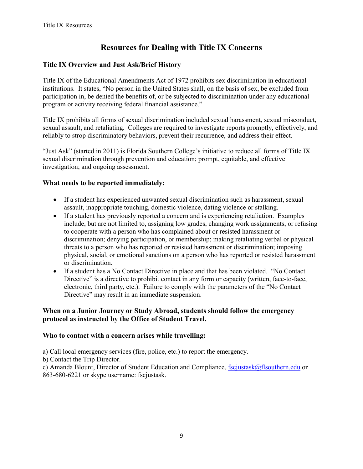# **Resources for Dealing with Title IX Concerns**

# **Title IX Overview and Just Ask/Brief History**

Title IX of the Educational Amendments Act of 1972 prohibits sex discrimination in educational institutions. It states, "No person in the United States shall, on the basis of sex, be excluded from participation in, be denied the benefits of, or be subjected to discrimination under any educational program or activity receiving federal financial assistance."

Title IX prohibits all forms of sexual discrimination included sexual harassment, sexual misconduct, sexual assault, and retaliating. Colleges are required to investigate reports promptly, effectively, and reliably to strop discriminatory behaviors, prevent their recurrence, and address their effect.

"Just Ask" (started in 2011) is Florida Southern College's initiative to reduce all forms of Title IX sexual discrimination through prevention and education; prompt, equitable, and effective investigation; and ongoing assessment.

# **What needs to be reported immediately:**

- If a student has experienced unwanted sexual discrimination such as harassment, sexual assault, inappropriate touching, domestic violence, dating violence or stalking.
- If a student has previously reported a concern and is experiencing retaliation. Examples include, but are not limited to, assigning low grades, changing work assignments, or refusing to cooperate with a person who has complained about or resisted harassment or discrimination; denying participation, or membership; making retaliating verbal or physical threats to a person who has reported or resisted harassment or discrimination; imposing physical, social, or emotional sanctions on a person who has reported or resisted harassment or discrimination.
- If a student has a No Contact Directive in place and that has been violated. "No Contact" Directive" is a directive to prohibit contact in any form or capacity (written, face-to-face, electronic, third party, etc.). Failure to comply with the parameters of the "No Contact Directive" may result in an immediate suspension.

# **When on a Junior Journey or Study Abroad, students should follow the emergency protocol as instructed by the Office of Student Travel.**

#### **Who to contact with a concern arises while travelling:**

a) Call local emergency services (fire, police, etc.) to report the emergency.

b) Contact the Trip Director.

c) Amanda Blount, Director of Student Education and Compliance, [fscjustask@flsouthern.edu](mailto:fscjustask@flsouthern.edu) or 863-680-6221 or skype username: fscjustask.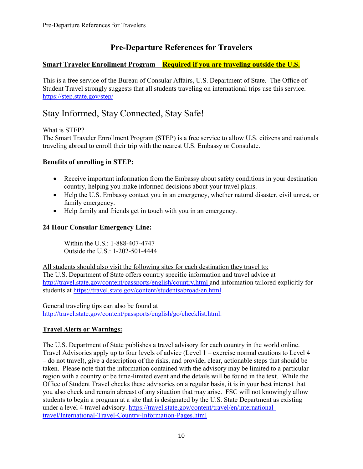# **Pre-Departure References for Travelers**

# **Smart Traveler Enrollment Program** – **Required if you are traveling outside the U.S.**

This is a free service of the Bureau of Consular Affairs, U.S. Department of State. The Office of Student Travel strongly suggests that all students traveling on international trips use this service. <https://step.state.gov/step/>

# Stay Informed, Stay Connected, Stay Safe!

What is STEP?

The Smart Traveler Enrollment Program (STEP) is a free service to allow U.S. citizens and nationals traveling abroad to enroll their trip with the nearest U.S. Embassy or Consulate.

# **Benefits of enrolling in STEP:**

- Receive important information from the Embassy about safety conditions in your destination country, helping you make informed decisions about your travel plans.
- Help the U.S. Embassy contact you in an emergency, whether natural disaster, civil unrest, or family emergency.
- Help family and friends get in touch with you in an emergency.

# **24 Hour Consular Emergency Line:**

Within the U.S.: 1-888-407-4747 Outside the U.S.: 1-202-501-4444

All students should also visit the following sites for each destination they travel to: The U.S. Department of State offers country specific information and travel advice at <http://travel.state.gov/content/passports/english/country.html> and information tailored explicitly for students at [https://travel.state.gov/content/studentsabroad/en.html.](https://travel.state.gov/content/studentsabroad/en.html)

General traveling tips can also be found at [http://travel.state.gov/content/passports/english/go/checklist.html.](http://travel.state.gov/content/passports/english/go/checklist.html)

# **Travel Alerts or Warnings:**

The U.S. Department of State publishes a travel advisory for each country in the world online. Travel Advisories apply up to four levels of advice (Level 1 – exercise normal cautions to Level 4 – do not travel), give a description of the risks, and provide, clear, actionable steps that should be taken. Please note that the information contained with the advisory may be limited to a particular region with a country or be time-limited event and the details will be found in the text. While the Office of Student Travel checks these advisories on a regular basis, it is in your best interest that you also check and remain abreast of any situation that may arise. FSC will not knowingly allow students to begin a program at a site that is designated by the U.S. State Department as existing under a level 4 travel advisory. [https://travel.state.gov/content/travel/en/international](https://travel.state.gov/content/travel/en/international-travel/International-Travel-Country-Information-Pages.html)[travel/International-Travel-Country-Information-Pages.html](https://travel.state.gov/content/travel/en/international-travel/International-Travel-Country-Information-Pages.html)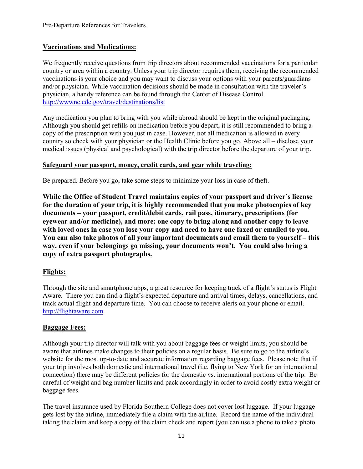# **Vaccinations and Medications:**

We frequently receive questions from trip directors about recommended vaccinations for a particular country or area within a country. Unless your trip director requires them, receiving the recommended vaccinations is your choice and you may want to discuss your options with your parents/guardians and/or physician. While vaccination decisions should be made in consultation with the traveler's physician, a handy reference can be found through the Center of Disease Control. <http://wwwnc.cdc.gov/travel/destinations/list>

Any medication you plan to bring with you while abroad should be kept in the original packaging. Although you should get refills on medication before you depart, it is still recommended to bring a copy of the prescription with you just in case. However, not all medication is allowed in every country so check with your physician or the Health Clinic before you go. Above all – disclose your medical issues (physical and psychological) with the trip director before the departure of your trip.

#### **Safeguard your passport, money, credit cards, and gear while traveling:**

Be prepared. Before you go, take some steps to minimize your loss in case of theft.

**While the Office of Student Travel maintains copies of your passport and driver's license for the duration of your trip, it is highly recommended that you make photocopies of key documents – your passport, credit/debit cards, rail pass, itinerary, prescriptions (for eyewear and/or medicine), and more: one copy to bring along and another copy to leave with loved ones in case you lose your copy and need to have one faxed or emailed to you. You can also take photos of all your important documents and email them to yourself – this way, even if your belongings go missing, your documents won't. You could also bring a copy of extra passport photographs.**

#### **Flights:**

Through the site and smartphone apps, a great resource for keeping track of a flight's status is Flight Aware. There you can find a flight's expected departure and arrival times, delays, cancellations, and track actual flight and departure time. You can choose to receive alerts on your phone or email. [http://flightaware.com](http://flightaware.com/)

#### **Baggage Fees:**

Although your trip director will talk with you about baggage fees or weight limits, you should be aware that airlines make changes to their policies on a regular basis. Be sure to go to the airline's website for the most up-to-date and accurate information regarding baggage fees. Please note that if your trip involves both domestic and international travel (i.e. flying to New York for an international connection) there may be different policies for the domestic vs. international portions of the trip. Be careful of weight and bag number limits and pack accordingly in order to avoid costly extra weight or baggage fees.

The travel insurance used by Florida Southern College does not cover lost luggage. If your luggage gets lost by the airline, immediately file a claim with the airline. Record the name of the individual taking the claim and keep a copy of the claim check and report (you can use a phone to take a photo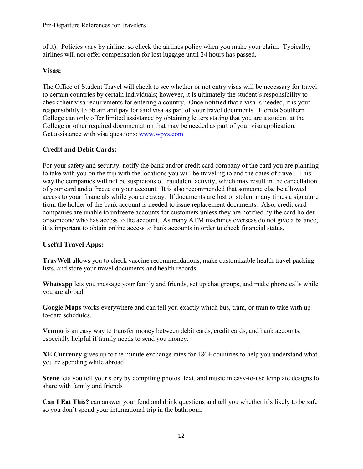of it). Policies vary by airline, so check the airlines policy when you make your claim. Typically, airlines will not offer compensation for lost luggage until 24 hours has passed.

# **Visas:**

The Office of Student Travel will check to see whether or not entry visas will be necessary for travel to certain countries by certain individuals; however, it is ultimately the student's responsibility to check their visa requirements for entering a country. Once notified that a visa is needed, it is your responsibility to obtain and pay for said visa as part of your travel documents. Florida Southern College can only offer limited assistance by obtaining letters stating that you are a student at the College or other required documentation that may be needed as part of your visa application. Get assistance with visa questions: [www.wpvs.com](http://www.wpvs.com/)

# **Credit and Debit Cards:**

For your safety and security, notify the bank and/or credit card company of the card you are planning to take with you on the trip with the locations you will be traveling to and the dates of travel. This way the companies will not be suspicious of fraudulent activity, which may result in the cancellation of your card and a freeze on your account. It is also recommended that someone else be allowed access to your financials while you are away. If documents are lost or stolen, many times a signature from the holder of the bank account is needed to issue replacement documents. Also, credit card companies are unable to unfreeze accounts for customers unless they are notified by the card holder or someone who has access to the account. As many ATM machines overseas do not give a balance, it is important to obtain online access to bank accounts in order to check financial status.

# **Useful Travel Apps:**

**TravWell** allows you to check vaccine recommendations, make customizable health travel packing lists, and store your travel documents and health records.

**Whatsapp** lets you message your family and friends, set up chat groups, and make phone calls while you are abroad.

**Google Maps** works everywhere and can tell you exactly which bus, tram, or train to take with upto-date schedules.

**Venmo** is an easy way to transfer money between debit cards, credit cards, and bank accounts, especially helpful if family needs to send you money.

**XE Currency** gives up to the minute exchange rates for 180+ countries to help you understand what you're spending while abroad

**Scene** lets you tell your story by compiling photos, text, and music in easy-to-use template designs to share with family and friends

**Can I Eat This?** can answer your food and drink questions and tell you whether it's likely to be safe so you don't spend your international trip in the bathroom.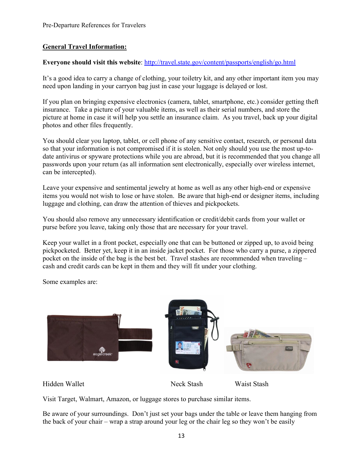### **General Travel Information:**

#### **Everyone should visit this website**:<http://travel.state.gov/content/passports/english/go.html>

It's a good idea to carry a change of clothing, your toiletry kit, and any other important item you may need upon landing in your carryon bag just in case your luggage is delayed or lost.

If you plan on bringing expensive electronics (camera, tablet, smartphone, etc.) consider getting theft insurance. Take a picture of your valuable items, as well as their serial numbers, and store the picture at home in case it will help you settle an insurance claim. As you travel, back up your digital photos and other files frequently.

You should clear you laptop, tablet, or cell phone of any sensitive contact, research, or personal data so that your information is not compromised if it is stolen. Not only should you use the most up-todate antivirus or spyware protections while you are abroad, but it is recommended that you change all passwords upon your return (as all information sent electronically, especially over wireless internet, can be intercepted).

Leave your expensive and sentimental jewelry at home as well as any other high-end or expensive items you would not wish to lose or have stolen. Be aware that high-end or designer items, including luggage and clothing, can draw the attention of thieves and pickpockets.

You should also remove any unnecessary identification or credit/debit cards from your wallet or purse before you leave, taking only those that are necessary for your travel.

Keep your wallet in a front pocket, especially one that can be buttoned or zipped up, to avoid being pickpocketed. Better yet, keep it in an inside jacket pocket. For those who carry a purse, a zippered pocket on the inside of the bag is the best bet. Travel stashes are recommended when traveling – cash and credit cards can be kept in them and they will fit under your clothing.

Some examples are:



Hidden Wallet Neck Stash Waist Stash

Visit Target, Walmart, Amazon, or luggage stores to purchase similar items.

Be aware of your surroundings. Don't just set your bags under the table or leave them hanging from the back of your chair – wrap a strap around your leg or the chair leg so they won't be easily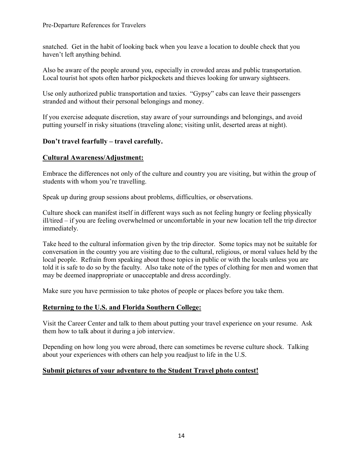snatched. Get in the habit of looking back when you leave a location to double check that you haven't left anything behind.

Also be aware of the people around you, especially in crowded areas and public transportation. Local tourist hot spots often harbor pickpockets and thieves looking for unwary sightseers.

Use only authorized public transportation and taxies. "Gypsy" cabs can leave their passengers stranded and without their personal belongings and money.

If you exercise adequate discretion, stay aware of your surroundings and belongings, and avoid putting yourself in risky situations (traveling alone; visiting unlit, deserted areas at night).

# **Don't travel fearfully – travel carefully.**

# **Cultural Awareness/Adjustment:**

Embrace the differences not only of the culture and country you are visiting, but within the group of students with whom you're travelling.

Speak up during group sessions about problems, difficulties, or observations.

Culture shock can manifest itself in different ways such as not feeling hungry or feeling physically ill/tired – if you are feeling overwhelmed or uncomfortable in your new location tell the trip director immediately.

Take heed to the cultural information given by the trip director. Some topics may not be suitable for conversation in the country you are visiting due to the cultural, religious, or moral values held by the local people. Refrain from speaking about those topics in public or with the locals unless you are told it is safe to do so by the faculty. Also take note of the types of clothing for men and women that may be deemed inappropriate or unacceptable and dress accordingly.

Make sure you have permission to take photos of people or places before you take them.

# **Returning to the U.S. and Florida Southern College:**

Visit the Career Center and talk to them about putting your travel experience on your resume. Ask them how to talk about it during a job interview.

Depending on how long you were abroad, there can sometimes be reverse culture shock. Talking about your experiences with others can help you readjust to life in the U.S.

# **Submit pictures of your adventure to the Student Travel photo contest!**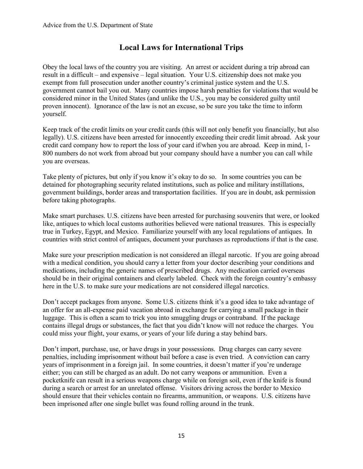# **Local Laws for International Trips**

Obey the local laws of the country you are visiting. An arrest or accident during a trip abroad can result in a difficult – and expensive – legal situation. Your U.S. citizenship does not make you exempt from full prosecution under another country's criminal justice system and the U.S. government cannot bail you out. Many countries impose harsh penalties for violations that would be considered minor in the United States (and unlike the U.S., you may be considered guilty until proven innocent). Ignorance of the law is not an excuse, so be sure you take the time to inform yourself.

Keep track of the credit limits on your credit cards (this will not only benefit you financially, but also legally). U.S. citizens have been arrested for innocently exceeding their credit limit abroad. Ask your credit card company how to report the loss of your card if/when you are abroad. Keep in mind, 1- 800 numbers do not work from abroad but your company should have a number you can call while you are overseas.

Take plenty of pictures, but only if you know it's okay to do so. In some countries you can be detained for photographing security related institutions, such as police and military instillations, government buildings, border areas and transportation facilities. If you are in doubt, ask permission before taking photographs.

Make smart purchases. U.S. citizens have been arrested for purchasing souvenirs that were, or looked like, antiques to which local customs authorities believed were national treasures. This is especially true in Turkey, Egypt, and Mexico. Familiarize yourself with any local regulations of antiques. In countries with strict control of antiques, document your purchases as reproductions if that is the case.

Make sure your prescription medication is not considered an illegal narcotic. If you are going abroad with a medical condition, you should carry a letter from your doctor describing your conditions and medications, including the generic names of prescribed drugs. Any medication carried overseas should be in their original containers and clearly labeled. Check with the foreign country's embassy here in the U.S. to make sure your medications are not considered illegal narcotics.

Don't accept packages from anyone. Some U.S. citizens think it's a good idea to take advantage of an offer for an all-expense paid vacation abroad in exchange for carrying a small package in their luggage. This is often a scam to trick you into smuggling drugs or contraband. If the package contains illegal drugs or substances, the fact that you didn't know will not reduce the charges. You could miss your flight, your exams, or years of your life during a stay behind bars.

Don't import, purchase, use, or have drugs in your possessions. Drug charges can carry severe penalties, including imprisonment without bail before a case is even tried. A conviction can carry years of imprisonment in a foreign jail. In some countries, it doesn't matter if you're underage either; you can still be charged as an adult. Do not carry weapons or ammunition. Even a pocketknife can result in a serious weapons charge while on foreign soil, even if the knife is found during a search or arrest for an unrelated offense. Visitors driving across the border to Mexico should ensure that their vehicles contain no firearms, ammunition, or weapons. U.S. citizens have been imprisoned after one single bullet was found rolling around in the trunk.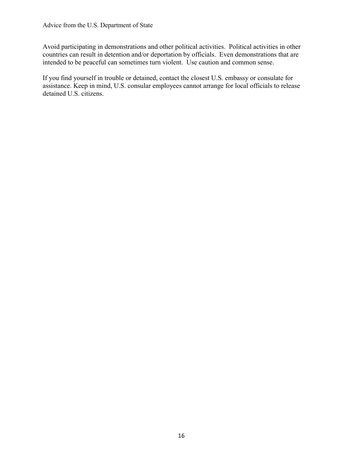Avoid participating in demonstrations and other political activities. Political activities in other countries can result in detention and/or deportation by officials. Even demonstrations that are intended to be peaceful can sometimes turn violent. Use caution and common sense.

If you find yourself in trouble or detained, contact the closest U.S. embassy or consulate for assistance. Keep in mind, U.S. consular employees cannot arrange for local officials to release detained U.S. citizens.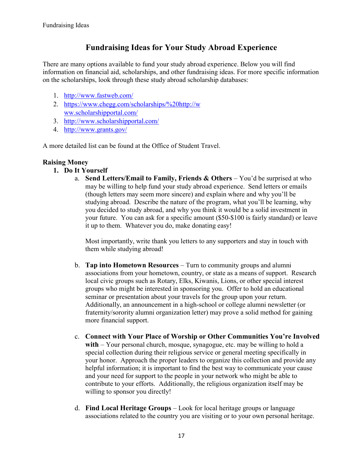# **Fundraising Ideas for Your Study Abroad Experience**

There are many options available to fund your study abroad experience. Below you will find information on financial aid, scholarships, and other fundraising ideas. For more specific information on the scholarships, look through these study abroad scholarship databases:

- 1. <http://www.fastweb.com/>
- 2. [https://www.chegg.com/scholarships/%20http://w](https://www.chegg.com/scholarships/%20http:/www.scholarshipportal.com/) [ww.scholarshipportal.com/](https://www.chegg.com/scholarships/%20http:/www.scholarshipportal.com/)
- 3. <http://www.scholarshipportal.com/>
- 4. <http://www.grants.gov/>

A more detailed list can be found at the Office of Student Travel.

# **Raising Money**

- **1. Do It Yourself**
	- a. **Send Letters/Email to Family, Friends & Others** You'd be surprised at who may be willing to help fund your study abroad experience. Send letters or emails (though letters may seem more sincere) and explain where and why you'll be studying abroad. Describe the nature of the program, what you'll be learning, why you decided to study abroad, and why you think it would be a solid investment in your future. You can ask for a specific amount (\$50-\$100 is fairly standard) or leave it up to them. Whatever you do, make donating easy!

Most importantly, write thank you letters to any supporters and stay in touch with them while studying abroad!

- b. **Tap into Hometown Resources** Turn to community groups and alumni associations from your hometown, country, or state as a means of support. Research local civic groups such as Rotary, Elks, Kiwanis, Lions, or other special interest groups who might be interested in sponsoring you. Offer to hold an educational seminar or presentation about your travels for the group upon your return. Additionally, an announcement in a high-school or college alumni newsletter (or fraternity/sorority alumni organization letter) may prove a solid method for gaining more financial support.
- c. **Connect with Your Place of Worship or Other Communities You're Involved with** – Your personal church, mosque, synagogue, etc. may be willing to hold a special collection during their religious service or general meeting specifically in your honor. Approach the proper leaders to organize this collection and provide any helpful information; it is important to find the best way to communicate your cause and your need for support to the people in your network who might be able to contribute to your efforts. Additionally, the religious organization itself may be willing to sponsor you directly!
- d. **Find Local Heritage Groups** Look for local heritage groups or language associations related to the country you are visiting or to your own personal heritage.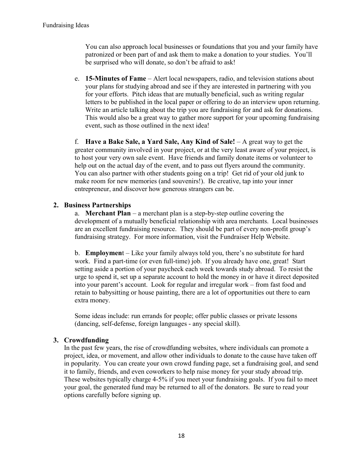You can also approach local businesses or foundations that you and your family have patronized or been part of and ask them to make a donation to your studies. You'll be surprised who will donate, so don't be afraid to ask!

e. **15-Minutes of Fame** – Alert local newspapers, radio, and television stations about your plans for studying abroad and see if they are interested in partnering with you for your efforts. Pitch ideas that are mutually beneficial, such as writing regular letters to be published in the local paper or offering to do an interview upon returning. Write an article talking about the trip you are fundraising for and ask for donations. This would also be a great way to gather more support for your upcoming fundraising event, such as those outlined in the next idea!

f. **Have a Bake Sale, a Yard Sale, Any Kind of Sale!** – A great way to get the greater community involved in your project, or at the very least aware of your project, is to host your very own sale event. Have friends and family donate items or volunteer to help out on the actual day of the event, and to pass out flyers around the community. You can also partner with other students going on a trip! Get rid of your old junk to make room for new memories (and souvenirs!). Be creative, tap into your inner entrepreneur, and discover how generous strangers can be.

#### **2. Business Partnerships**

a. **Merchant Plan** – a merchant plan is a step-by-step outline covering the development of a mutually beneficial relationship with area merchants. Local businesses are an excellent fundraising resource. They should be part of every non-profit group's fundraising strategy. For more information, visit the Fundraiser Help Website.

b. **Employmen**t – Like your family always told you, there's no substitute for hard work. Find a part-time (or even full-time) job. If you already have one, great! Start setting aside a portion of your paycheck each week towards study abroad. To resist the urge to spend it, set up a separate account to hold the money in or have it direct deposited into your parent's account. Look for regular and irregular work – from fast food and retain to babysitting or house painting, there are a lot of opportunities out there to earn extra money.

Some ideas include: run errands for people; offer public classes or private lessons (dancing, self-defense, foreign languages - any special skill).

# **3. Crowdfunding**

In the past few years, the rise of crowdfunding websites, where individuals can promote a project, idea, or movement, and allow other individuals to donate to the cause have taken off in popularity. You can create your own crowd funding page, set a fundraising goal, and send it to family, friends, and even coworkers to help raise money for your study abroad trip. These websites typically charge 4-5% if you meet your fundraising goals. If you fail to meet your goal, the generated fund may be returned to all of the donators. Be sure to read your options carefully before signing up.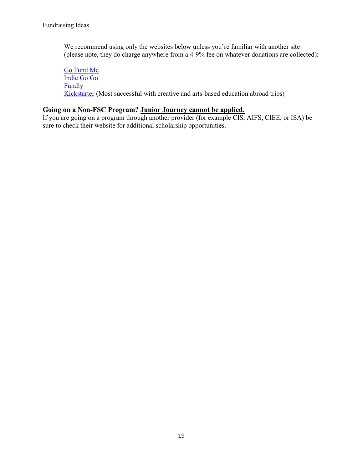We recommend using only the websites below unless you're familiar with another site (please note, they do charge anywhere from a 4-9% fee on whatever donations are collected):

[Go Fund Me](http://www.gofundme.com/) [Indie Go Go](http://www.indiegogo.com/) [Fundly](http://www.fundly.com/) [Kickstarter](http://www.kickstarter.com/) (Most successful with creative and arts-based education abroad trips)

#### **Going on a Non-FSC Program? Junior Journey cannot be applied.**

If you are going on a program through another provider (for example CIS, AIFS, CIEE, or ISA) be sure to check their website for additional scholarship opportunities.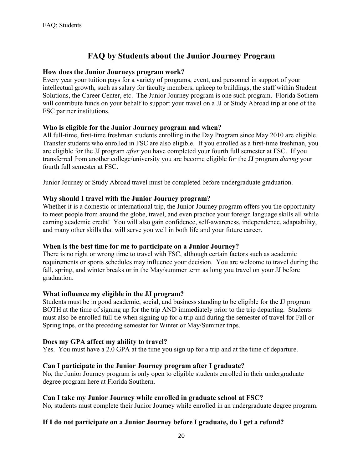# **FAQ by Students about the Junior Journey Program**

#### **How does the Junior Journeys program work?**

Every year your tuition pays for a variety of programs, event, and personnel in support of your intellectual growth, such as salary for faculty members, upkeep to buildings, the staff within Student Solutions, the Career Center, etc. The Junior Journey program is one such program. Florida Sothern will contribute funds on your behalf to support your travel on a JJ or Study Abroad trip at one of the FSC partner institutions.

### **Who is eligible for the Junior Journey program and when?**

All full-time, first-time freshman students enrolling in the Day Program since May 2010 are eligible. Transfer students who enrolled in FSC are also eligible. If you enrolled as a first-time freshman, you are eligible for the JJ program *after* you have completed your fourth full semester at FSC. If you transferred from another college/university you are become eligible for the JJ program *during* your fourth full semester at FSC.

Junior Journey or Study Abroad travel must be completed before undergraduate graduation.

### **Why should I travel with the Junior Journey program?**

Whether it is a domestic or international trip, the Junior Journey program offers you the opportunity to meet people from around the globe, travel, and even practice your foreign language skills all while earning academic credit! You will also gain confidence, self-awareness, independence, adaptability, and many other skills that will serve you well in both life and your future career.

#### **When is the best time for me to participate on a Junior Journey?**

There is no right or wrong time to travel with FSC, although certain factors such as academic requirements or sports schedules may influence your decision. You are welcome to travel during the fall, spring, and winter breaks or in the May/summer term as long you travel on your JJ before graduation.

#### **What influence my eligible in the JJ program?**

Students must be in good academic, social, and business standing to be eligible for the JJ program BOTH at the time of signing up for the trip AND immediately prior to the trip departing. Students must also be enrolled full-tie when signing up for a trip and during the semester of travel for Fall or Spring trips, or the preceding semester for Winter or May/Summer trips.

#### **Does my GPA affect my ability to travel?**

Yes. You must have a 2.0 GPA at the time you sign up for a trip and at the time of departure.

#### **Can I participate in the Junior Journey program after I graduate?**

No, the Junior Journey program is only open to eligible students enrolled in their undergraduate degree program here at Florida Southern.

# **Can I take my Junior Journey while enrolled in graduate school at FSC?**

No, students must complete their Junior Journey while enrolled in an undergraduate degree program.

# **If I do not participate on a Junior Journey before I graduate, do I get a refund?**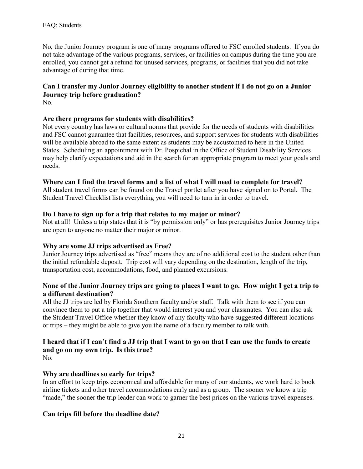No, the Junior Journey program is one of many programs offered to FSC enrolled students. If you do not take advantage of the various programs, services, or facilities on campus during the time you are enrolled, you cannot get a refund for unused services, programs, or facilities that you did not take advantage of during that time.

# **Can I transfer my Junior Journey eligibility to another student if I do not go on a Junior Journey trip before graduation?**

No.

#### **Are there programs for students with disabilities?**

Not every country has laws or cultural norms that provide for the needs of students with disabilities and FSC cannot guarantee that facilities, resources, and support services for students with disabilities will be available abroad to the same extent as students may be accustomed to here in the United States. Scheduling an appointment with Dr. Pospichal in the Office of Student Disability Services may help clarify expectations and aid in the search for an appropriate program to meet your goals and needs.

#### **Where can I find the travel forms and a list of what I will need to complete for travel?**

All student travel forms can be found on the Travel portlet after you have signed on to Portal. The Student Travel Checklist lists everything you will need to turn in in order to travel.

#### **Do I have to sign up for a trip that relates to my major or minor?**

Not at all! Unless a trip states that it is "by permission only" or has prerequisites Junior Journey trips are open to anyone no matter their major or minor.

#### **Why are some JJ trips advertised as Free?**

Junior Journey trips advertised as "free" means they are of no additional cost to the student other than the initial refundable deposit. Trip cost will vary depending on the destination, length of the trip, transportation cost, accommodations, food, and planned excursions.

### **None of the Junior Journey trips are going to places I want to go. How might I get a trip to a different destination?**

All the JJ trips are led by Florida Southern faculty and/or staff. Talk with them to see if you can convince them to put a trip together that would interest you and your classmates. You can also ask the Student Travel Office whether they know of any faculty who have suggested different locations or trips – they might be able to give you the name of a faculty member to talk with.

# **I heard that if I can't find a JJ trip that I want to go on that I can use the funds to create and go on my own trip. Is this true?**

No.

#### **Why are deadlines so early for trips?**

In an effort to keep trips economical and affordable for many of our students, we work hard to book airline tickets and other travel accommodations early and as a group. The sooner we know a trip "made," the sooner the trip leader can work to garner the best prices on the various travel expenses.

#### **Can trips fill before the deadline date?**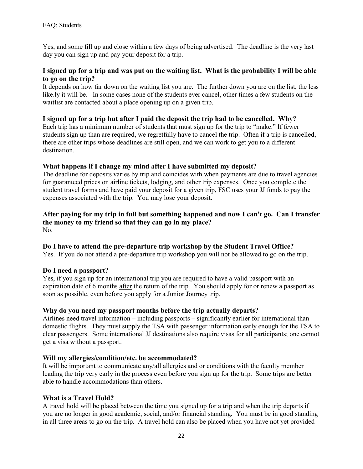Yes, and some fill up and close within a few days of being advertised. The deadline is the very last day you can sign up and pay your deposit for a trip.

# **I signed up for a trip and was put on the waiting list. What is the probability I will be able to go on the trip?**

It depends on how far down on the waiting list you are. The further down you are on the list, the less like.ly it will be. In some cases none of the students ever cancel, other times a few students on the waitlist are contacted about a place opening up on a given trip.

# **I signed up for a trip but after I paid the deposit the trip had to be cancelled. Why?**

Each trip has a minimum number of students that must sign up for the trip to "make." If fewer students sign up than are required, we regretfully have to cancel the trip. Often if a trip is cancelled, there are other trips whose deadlines are still open, and we can work to get you to a different destination.

# **What happens if I change my mind after I have submitted my deposit?**

The deadline for deposits varies by trip and coincides with when payments are due to travel agencies for guaranteed prices on airline tickets, lodging, and other trip expenses. Once you complete the student travel forms and have paid your deposit for a given trip, FSC uses your JJ funds to pay the expenses associated with the trip. You may lose your deposit.

#### **After paying for my trip in full but something happened and now I can't go. Can I transfer the money to my friend so that they can go in my place?** No.

# **Do I have to attend the pre-departure trip workshop by the Student Travel Office?**

Yes. If you do not attend a pre-departure trip workshop you will not be allowed to go on the trip.

# **Do I need a passport?**

Yes, if you sign up for an international trip you are required to have a valid passport with an expiration date of 6 months after the return of the trip. You should apply for or renew a passport as soon as possible, even before you apply for a Junior Journey trip.

# **Why do you need my passport months before the trip actually departs?**

Airlines need travel information – including passports – significantly earlier for international than domestic flights. They must supply the TSA with passenger information early enough for the TSA to clear passengers. Some international JJ destinations also require visas for all participants; one cannot get a visa without a passport.

# **Will my allergies/condition/etc. be accommodated?**

It will be important to communicate any/all allergies and or conditions with the faculty member leading the trip very early in the process even before you sign up for the trip. Some trips are better able to handle accommodations than others.

# **What is a Travel Hold?**

A travel hold will be placed between the time you signed up for a trip and when the trip departs if you are no longer in good academic, social, and/or financial standing. You must be in good standing in all three areas to go on the trip. A travel hold can also be placed when you have not yet provided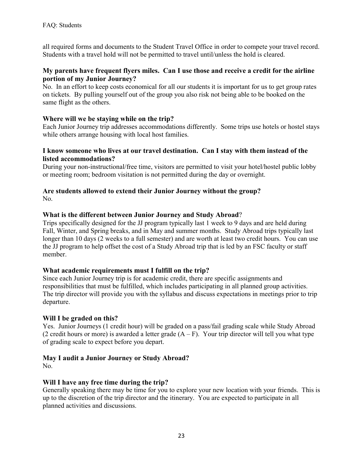all required forms and documents to the Student Travel Office in order to compete your travel record. Students with a travel hold will not be permitted to travel until/unless the hold is cleared.

### **My parents have frequent flyers miles. Can I use those and receive a credit for the airline portion of my Junior Journey?**

No. In an effort to keep costs economical for all our students it is important for us to get group rates on tickets. By pulling yourself out of the group you also risk not being able to be booked on the same flight as the others.

### **Where will we be staying while on the trip?**

Each Junior Journey trip addresses accommodations differently. Some trips use hotels or hostel stays while others arrange housing with local host families.

#### **I know someone who lives at our travel destination. Can I stay with them instead of the listed accommodations?**

During your non-instructional/free time, visitors are permitted to visit your hotel/hostel public lobby or meeting room; bedroom visitation is not permitted during the day or overnight.

#### **Are students allowed to extend their Junior Journey without the group?** No.

### **What is the different between Junior Journey and Study Abroad**?

Trips specifically designed for the JJ program typically last 1 week to 9 days and are held during Fall, Winter, and Spring breaks, and in May and summer months. Study Abroad trips typically last longer than 10 days (2 weeks to a full semester) and are worth at least two credit hours. You can use the JJ program to help offset the cost of a Study Abroad trip that is led by an FSC faculty or staff member.

#### **What academic requirements must I fulfill on the trip?**

Since each Junior Journey trip is for academic credit, there are specific assignments and responsibilities that must be fulfilled, which includes participating in all planned group activities. The trip director will provide you with the syllabus and discuss expectations in meetings prior to trip departure.

#### **Will I be graded on this?**

Yes. Junior Journeys (1 credit hour) will be graded on a pass/fail grading scale while Study Abroad (2 credit hours or more) is awarded a letter grade  $(A - F)$ . Your trip director will tell you what type of grading scale to expect before you depart.

# **May I audit a Junior Journey or Study Abroad?**

No.

# **Will I have any free time during the trip?**

Generally speaking there may be time for you to explore your new location with your friends. This is up to the discretion of the trip director and the itinerary. You are expected to participate in all planned activities and discussions.